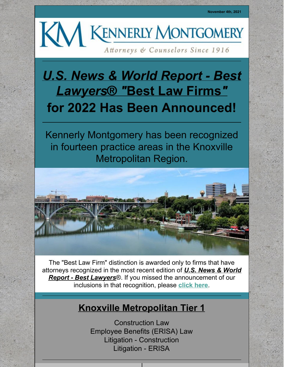

# *U.S. News & World Report - Best [Lawyers](https://www.bestlawyers.com/)*® *["](https://www.bestlawyers.com/)***Best Law [Firms](https://www.bestlawyers.com/)***["](https://www.bestlawyers.com/)* **for 2022 Has Been Announced!**

Kennerly Montgomery has been recognized in fourteen practice areas in the Knoxville Metropolitan Region.



The "Best Law Firm" distinction is awarded only to firms that have attorneys recognized in the most recent edition of *U.S. News & World Report - Best Lawyers*®. If you missed the [announcement](https://www.bestlawyers.com/) of our inclusions in that recognition, please **[click](http://www.kmfpc.com/Uploads/Files/News/2022 Best Lawyers Announcement.pdf) here**.

# **Knoxville Metropolitan Tier 1**

Construction Law Employee Benefits (ERISA) Law Litigation - Construction Litigation - ERISA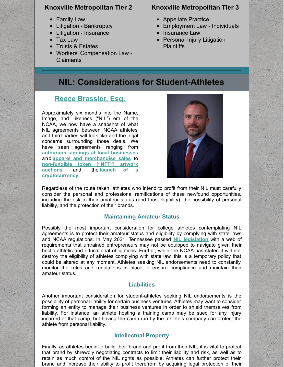#### **Knoxville Metropolitan Tier 2**

- Family Law
- Litigation Bankruptcy
- Litigation Insurance
- Tax Law
- Trusts & Estates
- Workers' Compensation Law Claimants

#### **Knoxville Metropolitan Tier 3**

- Appellate Practice
- Employment Law Individuals  $\bullet$
- Insurance Law
- Personal Injury Litigation -**Plaintiffs**

# **NIL: Considerations for Student-Athletes**

### **Reece [Brassler,](http://www.kmfpc.com/attorneys/reece_brassler.aspx) Esq.**

Approximately six months into the Name, Image, and Likeness ("NIL") era of the NCAA, we now have a snapshot of what NIL agreements between NCAA athletes and third-parties will look like and the legal concerns surrounding those deals. We have seen agreements ranging from **autograph signings at local [businesses](https://www.hawkcentral.com/story/sports/2021/06/30/nil-jordan-bohannon-iowa-basketball-announces-first-name-image-likeness-venture-boomin-iowa-firework/7818513002/)** and **apparel and [merchandise](https://www.washingtonpost.com/sports/2021/07/01/college-athletes-nil-deals-bo-nix-deriq-king/) sales** to **[non-fungible](https://www.espn.com/college-football/story/_/id/31776772/star-oregon-ducks-de-kayvon-thibodeaux-nft-deal-phil-knight-tinker-hatfield) token ("NFT") artwork auctions** and the **launch of a [cryptocurrency](https://duckswire.usatoday.com/2021/09/23/kayvon-thibodeaux-launches-his-own-cryptocurrency-jdream/)**.



Regardless of the route taken, athletes who intend to profit from their NIL must carefully consider the personal and professional ramifications of these newfound opportunities, including the risk to their amateur status (and thus eligibility), the possibility of personal liability, and the protection of their brands.

#### **Maintaining Amateur Status**

Possibly the most important consideration for college athletes contemplating NIL agreements is to protect their amateur status and eligibility by complying with state laws and NCAA regulations. In May 2021, Tennessee passed **NIL [legislation](https://spry.so/nil-state-guide/tennessee-nil-law-for-ncaa/)** with a web of requirements that untrained entrepreneurs may not be equipped to navigate given their hectic athletic and educational obligations. Further, while the NCAA has stated it will not destroy the eligibility of athletes complying with state law, this is a temporary policy that could be altered at any moment. Athletes seeking NIL endorsements need to constantly monitor the rules and regulations in place to ensure compliance and maintain their amateur status.

#### **Liabilities**

Another important consideration for student-athletes seeking NIL endorsements is the possibility of personal liability for certain business ventures. Athletes may want to consider forming an entity to manage their business ventures in order to shield themselves from liability. For instance, an athlete hosting a training camp may be sued for any injury incurred at that camp, but having the camp run by the athlete's company can protect the athlete from personal liability.

#### **Intellectual Property**

Finally, as athletes begin to build their brand and profit from their NIL, it is vital to protect that brand by shrewdly negotiating contracts to limit their liability and risk, as well as to retain as much control of the NIL rights as possible. Athletes can further protect their brand and increase their ability to profit therefrom by acquiring legal protection of their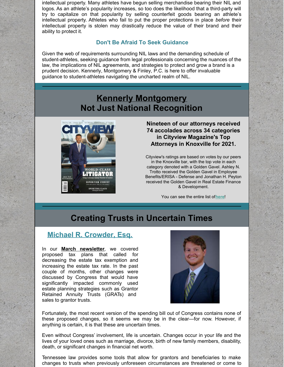intellectual property. Many athletes have begun selling merchandise bearing their NIL and logos. As an athlete's popularity increases, so too does the likelihood that a third-party will try to capitalize on that popularity by selling counterfeit goods bearing an athlete's intellectual property. Athletes who fail to put the proper protections in place *before* their intellectual property is stolen may drastically reduce the value of their brand and their ability to protect it.

#### **Don't Be Afraid To Seek Guidance**

Given the web of requirements surrounding NIL laws and the demanding schedule of student-athletes, seeking guidance from legal professionals concerning the nuances of the law, the implications of NIL agreements, and strategies to protect and grow a brand is a prudent decision. Kennerly, Montgomery & Finley, P.C. is here to offer invaluable guidance to student-athletes navigating the uncharted realm of NIL.

### **Kennerly Montgomery Not Just National Recognition**



**Nineteen of our attorneys received 74 accolades across 34 categories in Cityview Magazine's Top Attorneys in Knoxville for 2021.**

Cityview's ratings are based on votes by our peers in the Knoxville bar, with the top vote in each category denoted with a Golden Gavel. Ashley N. Trotto received the Golden Gavel in Employee Benefits/ERISA - Defense and Jonathan H. Peyton received the Golden Gavel in Real Estate Finance & Development.

You can see the entire list of**[here](http://www.kmfpc.com/Uploads/Files/News/Cityview Magazine 2021 Top Attorneys of Knoxville.pdf)**!

# **Creating Trusts in Uncertain Times**

### **Michael R. [Crowder,](http://www.kmfpc.com/attorneys/michael_r_crowder.aspx) Esq.**

In our **March [newsletter](http://www.kmfpc.com/Uploads/Files/News/KM Newsletter Special Edition March 19 Estate Plan.pdf)**, we covered proposed tax plans that called for decreasing the estate tax exemption and increasing the estate tax rate. In the past couple of months, other changes were discussed by Congress that would have significantly impacted commonly used estate planning strategies such as Grantor Retained Annuity Trusts (GRATs) and sales to grantor trusts.



Fortunately, the most recent version of the spending bill out of Congress contains none of these proposed changes, so it seems we may be in the clear—for now. However, if anything is certain, it is that these are uncertain times.

Even without Congress' involvement, life is uncertain. Changes occur in your life and the lives of your loved ones such as marriage, divorce, birth of new family members, disability, death, or significant changes in financial net worth.

Tennessee law provides some tools that allow for grantors and beneficiaries to make changes to trusts when previously unforeseen circumstances are threatened or come to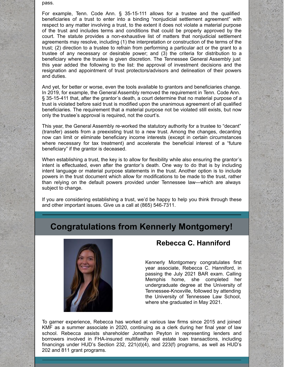pass.

For example, Tenn. Code Ann. § 35-15-111 allows for a trustee and the qualified beneficiaries of a trust to enter into a binding "nonjudicial settlement agreement" with respect to any matter involving a trust, to the extent it does not violate a material purpose of the trust and includes terms and conditions that could be properly approved by the court. The statute provides a non-exhaustive list of matters that nonjudicial settlement agreements may resolve, including (1) the interpretation or construction of the terms of the trust; (2) direction to a trustee to refrain from performing a particular act or the grant to a trustee of any necessary or desirable power; and (3) the criteria for distribution to a beneficiary where the trustee is given discretion. The Tennessee General Assembly just this year added the following to the list: the approval of investment decisions and the resignation and appointment of trust protectors/advisors and delineation of their powers and duties.

And yet, for better or worse, even the tools available to grantors and beneficiaries change. In 2019, for example, the General Assembly removed the requirement in Tenn. Code Ann. § 35-15-411 that, after the grantor's death, a court determine that no material purpose of a trust is violated before said trust is modified upon the unanimous agreement of all qualified beneficiaries. The requirement that a material purpose not be violated still exists, but now only the trustee's approval is required, not the court's.

This year, the General Assembly re-worked the statutory authority for a trustee to "decant" (transfer) assets from a preexisting trust to a new trust. Among the changes, decanting now can limit or eliminate beneficiary income interests (except in certain circumstances where necessary for tax treatment) and accelerate the beneficial interest of a "future beneficiary" if the grantor is deceased.

When establishing a trust, the key is to allow for flexibility while also ensuring the grantor's intent is effectuated, even after the grantor's death. One way to do that is by including intent language or material purpose statements in the trust. Another option is to include powers in the trust document which allow for modifications to be made to the trust, rather than relying on the default powers provided under Tennessee law—which are always subject to change.

If you are considering establishing a trust, we'd be happy to help you think through these and other important issues. Give us a call at (865) 546-7311.

### **Congratulations from Kennerly Montgomery!**



#### **Rebecca C. Hanniford**

Kennerly Montgomery congratulates first year associate, Rebecca C. Hanniford, in passing the July 2021 BAR exam. Calling Memphis home, she completed her undergraduate degree at the University of Tennessee-Knoxville, followed by attending the University of Tennessee Law School, where she graduated in May 2021.

To garner experience, Rebecca has worked at various law firms since 2015 and joined KMF as a summer associate in 2020, continuing as a clerk during her final year of law school. Rebecca assists shareholder Jonathan Peyton in representing lenders and borrowers involved in FHA-insured multifamily real estate loan transactions, including financings under HUD's Section 232, 221(d)(4), and 223(f) programs, as well as HUD's 202 and 811 grant programs.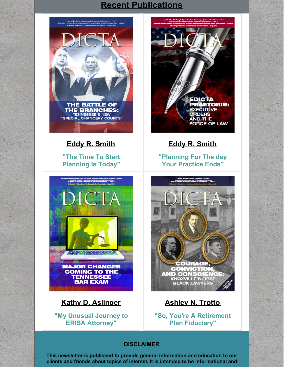# **Recent [Publications](http://www.kmfpc.com/publications.aspx)**





# **Kathy D. [Aslinger](http://www.kmfpc.com/attorneys/kathy_d_aslinger.aspx)**

**"My Unusual Journey to ERISA [Attorney"](https://issuu.com/knoxvillebarassociation/docs/dicta_april_2021?fr=sZTRkMTMzODQ1OTI)**



**Eddy R. [Smith](http://www.kmfpc.com/attorneys/eddy_r_smith.aspx)**

**["Planning](https://issuu.com/knoxvillebarassociation/docs/dicta.may2021?fr=sZjM3NjM1MTk1MTI) For The day Your Practice Ends"**



# **[Ashley](http://www.kmfpc.com/attorneys/ashley_n_trotto.aspx) N. Trotto**

**"So, You're A [Retirement](https://issuu.com/knoxvillebarassociation/docs/dicta_march_2021?fr=sYTg1ODI4NTE0MTc) Plan Fiduciary"**

#### **DISCLAIMER**

**This newsletter is published to provide general information and education to our clients and friends about topics of interest. It is intended to be informational and**